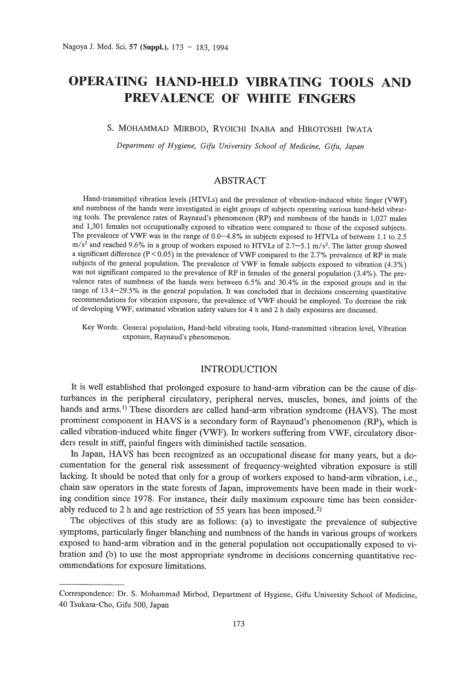# **OPERATING HAND-HELD VIBRATING TOOLS AND PREVALENCE OF WHITE FINGERS**

# S. MOHAMMAD MIRBOD, RYOICHI INASA and HIROTOSHI IWATA

*Department of Hygiene, Gifu University School of Medicine, Gifu, Japan*

## ABSTRACT

Hand-transmitted vibration levels (HTVLs) and the prevalence of vibration-induced white finger (VWF) and numbness of the hands were investigated in eight groups of subjects operating various hand-held vibrating tools. The prevalence rates of Raynaud's phenomenon (RP) and numbness of the hands in 1,027 males and 1,301 females not occupationally exposed to vibration were compared to those of the exposed subjects. The prevalence of VWF was in the range of 0.0-4.8% in subjects exposed to HTVLs of between 1.1 to 2.5  $\text{m/s}^2$  and reached 9.6% in a group of workers exposed to HTVLs of 2.7–5.1 m/s<sup>2</sup>. The latter group showed a significant difference ( $P < 0.05$ ) in the prevalence of VWF compared to the 2.7% prevalence of RP in male subjects of the general population. The prevalence of VWF in female subjects exposed to vibration (4.3%) was not significant compared to the prevalence of RP in females of the general population (3.4%). The prevalence rates of numbness of the hands were between 6.5% and 30.4% in the exposed groups and in the range of 13.4-29.5% in the general population. It was concluded that in decisions concerning quantitative recommendations for vibration exposure, the prevalence of VWF should be employed. To decrease the risk of developing VWF, estimated vibration safety values for 4 hand 2 h daily exposures are discussed.

Key Words: General population, Hand-held vibrating tools, Hand-transmitted vibration level, Vibration exposure, Raynaud's phenomenon.

## INTRODUCTION

It is well established that prolonged exposure to hand-arm vibration can be the cause of disturbances in the peripheral circulatory, peripheral nerves, muscles, bones, and joints of the hands and arms.<sup>1)</sup> These disorders are called hand-arm vibration syndrome (HAVS). The most prominent component in HAVS is a secondary form of Raynaud's phenomenon (RP), which is called vibration-induced white finger (VWF). In workers suffering from VWF, circulatory disorders result in stiff, painful fingers with diminished tactile sensation.

In Japan, HAVS has been recognized as an occupational disease for many years, but a documentation for the general risk assessment of frequency-weighted vibration exposure is still lacking. **It** should be noted that only for a group of workers exposed to hand-arm vibration, i.e., chain saw operators in the state forests of Japan, improvements have been made in their working condition since 1978. For instance, their daily maximum exposure time has been considerably reduced to 2 h and age restriction of 55 years has been imposed.<sup>2)</sup>

The objectives of this study are as follows: (a) to investigate the prevalence of subjective symptoms, particularly finger blanching and numbness of the hands in various groups of workers exposed to hand-arm vibration and in the general population not occupationally exposed to vibration and (b) to use the most appropriate syndrome in decisions concerning quantitative recommendations for exposure limitations.

Correspondence: Dr. S. Mohammad Mirbod, Department of Hygiene, Gifu University School of Medicine, 40 Tsukasa-Cho, Gifu 500, Japan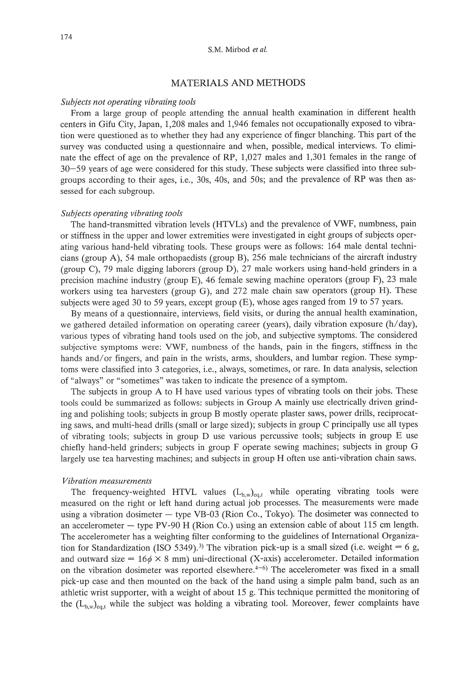## MATERIALS AND METHODS

#### *Subjects not operating vibrating tools*

From a large group of people attending the annual health examination in different health centers in Gifu City, Japan, 1,208 males and 1,946 females not occupationally exposed to vibration were questioned as to whether they had any experience of finger blanching. This part of the survey was conducted using a questionnaire and when, possible, medical interviews. To eliminate the effect of age on the prevalence of RP, 1,027 males and 1,301 females in the range of 30-59 years of age were considered for this study. These subjects were classified into three subgroups according to their ages, i.e., 30s, 40s, and 50s; and the prevalence of RP was then assessed for each subgroup.

#### *Subjects operating vibrating tools*

The hand-transmitted vibration levels (HTVLs) and the prevalence of VWF, numbness, pain or stiffness in the upper and lower extremities were investigated in eight groups of subjects operating various hand-held vibrating tools. These groups were as follows: 164 male dental technicians (group A), 54 male orthopaedists (group B), 256 male technicians of the aircraft industry (group C), 79 male digging laborers (group D), 27 male workers using hand-held grinders in a precision machine industry (group E), 46 female sewing machine operators (group F), 23 male workers using tea harvesters (group G), and 272 male chain saw operators (group H). These subjects were aged 30 to 59 years, except group (E), whose ages ranged from 19 to 57 years.

By means of a questionnaire, interviews, field visits, or during the annual health examination, we gathered detailed information on operating career (years), daily vibration exposure (h/day), various types of vibrating hand tools used on the job, and subjective symptoms. The considered subjective symptoms were: VWF, numbness of the hands, pain in the fingers, stiffness in the hands and/or fingers, and pain in the wrists, arms, shoulders, and lumbar region. These symptoms were classified into 3 categories, i.e., always, sometimes, or rare. In data analysis, selection of "always" or "sometimes" was taken to indicate the presence of a symptom.

The subjects in group A to H have used various types of vibrating tools on their jobs. These tools could be summarized as follows: subjects in Group A mainly use electrically driven grinding and polishing tools; subjects in group B mostly operate plaster saws, power drills, reciprocating saws, and multi-head drills (small or large sized); subjects in group C principally use all types of vibrating tools; subjects in group D use various percussive tools; subjects in group E use chiefly hand-held grinders; subjects in group F operate sewing machines; subjects in group G largely use tea harvesting machines; and subjects in group H often use anti-vibration chain saws.

#### *Vibration measurements*

The frequency-weighted HTVL values  $(L_{h,w})_{\text{cat}}$  while operating vibrating tools were measured on the right or left hand during actual job processes. The measurements were made using a vibration dosimeter - type VB-03 (Rion Co., Tokyo). The dosimeter was connected to an accelerometer  $-$  type PV-90 H (Rion Co.) using an extension cable of about 115 cm length. The accelerometer has a weighting filter conforming to the guidelines of International Organization for Standardization (ISO 5349).<sup>3)</sup> The vibration pick-up is a small sized (i.e. weight = 6 g, and outward size =  $16\phi \times 8$  mm) uni-directional (X-axis) accelerometer. Detailed information on the vibration dosimeter was reported elsewhere. $4-6$ ) The accelerometer was fixed in a small pick-up case and then mounted on the back of the hand using a simple palm band, such as an athletic wrist supporter, with a weight of about 15 g. This technique permitted the monitoring of the  $(L_{h,w})_{e_{0,1}}$  while the subject was holding a vibrating tool. Moreover, fewer complaints have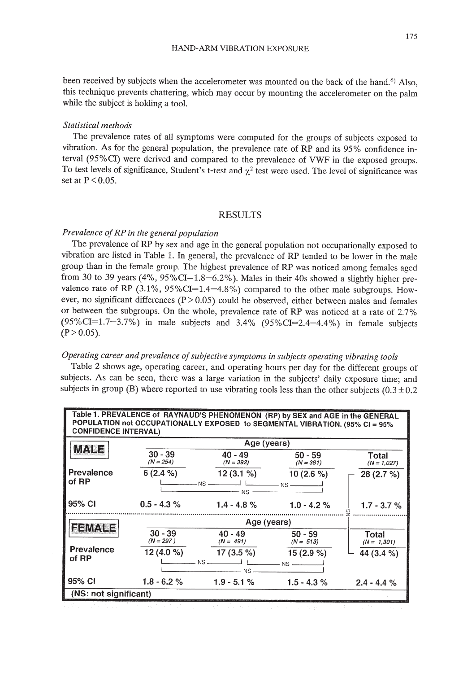been received by subjects when the accelerometer was mounted on the back of the hand.<sup>6)</sup> Also, this technique prevents chattering, which may occur by mounting the accelerometer on the palm while the subject is holding a tool.

### *Statistical methods*

The prevalence rates of all symptoms were computed for the groups of subjects exposed to vibration. As for the general population, the prevalence rate of RP and its 95% confidence interval (95%CI) were derived and compared to the prevalence of VWF in the exposed groups. To test levels of significance, Student's t-test and  $\chi^2$  test were used. The level of significance was set at  $P < 0.05$ .

## RESULTS

## *Prevalence ofRP in the general population*

The prevalence of RP by sex and age in the general population not occupationally exposed to vibration are listed in Table 1. In general, the prevalence of RP tended to be lower in the male group than in the female group. The highest prevalence of RP was noticed among females aged from 30 to 39 years  $(4\%, 95\%CI=1.8-6.2\%)$ . Males in their 40s showed a slightly higher prevalence rate of RP  $(3.1\%, 95\%CI=1.4-4.8\%)$  compared to the other male subgroups. However, no significant differences ( $P > 0.05$ ) could be observed, either between males and females or between the subgroups. On the whole, prevalence rate of RP was noticed at a rate of 2.7% (95%CI=1.7-3.7%) in male subjects and 3.4% (95%CI=2.4-4.4%) in female subjects  $(P>0.05)$ .

## *Operating career and prevalence ofsubjective symptoms in subjects operating vibrating tools*

Table 2 shows age, operating career, and operating hours per day for the different groups of subjects. As can be seen, there was a large variation in the subjects' daily exposure time; and subjects in group (B) where reported to use vibrating tools less than the other subjects  $(0.3 \pm 0.2)$ 

| Table 1. PREVALENCE of RAYNAUD'S PHENOMENON (RP) by SEX and AGE in the GENERAL<br>POPULATION not OCCUPATIONALLY EXPOSED to SEGMENTAL VIBRATION. (95% CI = 95%<br><b>CONFIDENCE INTERVAL)</b> |                          |                          |                                                      |                        |  |
|----------------------------------------------------------------------------------------------------------------------------------------------------------------------------------------------|--------------------------|--------------------------|------------------------------------------------------|------------------------|--|
|                                                                                                                                                                                              | Age (years)              |                          |                                                      |                        |  |
| MA NE                                                                                                                                                                                        | $30 - 39$<br>$(N = 254)$ | $40 - 49$<br>$(N = 392)$ | $50 - 59$<br>$(N = 381)$                             | Total<br>$(N = 1,027)$ |  |
| Prevalence                                                                                                                                                                                   | $6(2.4\%)$               | $12(3.1\%)$              | 10 $(2.6\%)$                                         | 28(2.7%)               |  |
| of RP                                                                                                                                                                                        |                          | $-$ NS $-$               | $-$ NS $-$                                           |                        |  |
| 95% CI                                                                                                                                                                                       | $0.5 - 4.3 \%$           | $1.4 - 4.8 \%$           | $1.0 - 4.2 \%$                                       | $1.7 - 3.7 \%$         |  |
|                                                                                                                                                                                              |                          |                          |                                                      |                        |  |
| <b>FEMALE</b>                                                                                                                                                                                | $30 - 39$                | $40 - 49$                | $50 - 59$                                            | Total                  |  |
|                                                                                                                                                                                              | $(N = 297)$              | $(N = 491)$              | $(N = 513)$                                          | $(N = 1,301)$          |  |
| Prevalence<br>of RP                                                                                                                                                                          | 12 $(4.0\%$              | 17 $(3.5\%)$             | $15(2.9\%)$                                          | 44 (3.4 %)             |  |
|                                                                                                                                                                                              |                          | $NS -$                   | $\overline{\phantom{1}}$ NS $\overline{\phantom{1}}$ |                        |  |
| 95% CI                                                                                                                                                                                       | $1.8 - 6.2 \%$           | $1.9 - 5.1 \%$           | $1.5 - 4.3%$                                         | $2.4 - 4.4%$           |  |
| (NS: not significant)                                                                                                                                                                        |                          |                          |                                                      |                        |  |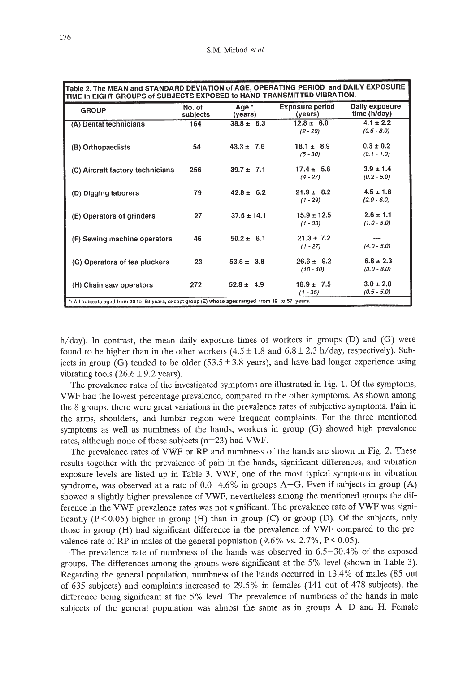| Table 2. The MEAN and STANDARD DEVIATION of AGE, OPERATING PERIOD and DAILY EXPOSURE<br>TIME in EIGHT GROUPS of SUBJECTS EXPOSED to HAND-TRANSMITTED VIBRATION. |                    |                  |                                   |                                |
|-----------------------------------------------------------------------------------------------------------------------------------------------------------------|--------------------|------------------|-----------------------------------|--------------------------------|
| <b>GROUP</b>                                                                                                                                                    | No. of<br>subjects | Age *<br>(years) | <b>Exposure period</b><br>(years) | Daily exposure<br>time (h/day) |
| (A) Dental technicians                                                                                                                                          | 164                | $38.8 \pm 6.3$   | $12.8 \pm 6.0$<br>$(2 - 29)$      | $4.1 \pm 2.2$<br>$(0.5 - 8.0)$ |
| (B) Orthopaedists                                                                                                                                               | 54                 | $43.3 \pm 7.6$   | $18.1 \pm 8.9$<br>$(5 - 30)$      | $0.3 \pm 0.2$<br>$(0.1 - 1.0)$ |
| (C) Aircraft factory technicians                                                                                                                                | 256                | $39.7 \pm 7.1$   | $17.4 \pm 5.6$<br>$(4 - 27)$      | $3.9 \pm 1.4$<br>$(0.2 - 5.0)$ |
| (D) Digging laborers                                                                                                                                            | 79                 | $42.8 \pm 6.2$   | $21.9 \pm 8.2$<br>$(1 - 29)$      | $4.5 \pm 1.8$<br>$(2.0 - 6.0)$ |
| (E) Operators of grinders                                                                                                                                       | 27                 | $37.5 \pm 14.1$  | $15.9 \pm 12.5$<br>$(1 - 33)$     | $2.6 \pm 1.1$<br>$(1.0 - 5.0)$ |
| (F) Sewing machine operators                                                                                                                                    | 46                 | $50.2 \pm 6.1$   | $21.3 \pm 7.2$<br>$(1 - 27)$      | $(4.0 - 5.0)$                  |
| (G) Operators of tea pluckers                                                                                                                                   | 23                 | $53.5 \pm 3.8$   | $26.6 \pm 9.2$<br>$(10 - 40)$     | $6.8 \pm 2.3$<br>$(3.0 - 8.0)$ |
| (H) Chain saw operators                                                                                                                                         | 272                | $52.8 \pm 4.9$   | $18.9 \pm 7.5$<br>$(1 - 35)$      | $3.0 \pm 2.0$<br>$(0.5 - 5.0)$ |
| *: All subjects aged from 30 to 59 years, except group (E) whose ages ranged from 19 to 57 years.                                                               |                    |                  |                                   |                                |

h/day). In contrast, the mean daily exposure times of workers in groups (D) and (G) were found to be higher than in the other workers  $(4.5 \pm 1.8$  and  $6.8 \pm 2.3$  h/day, respectively). Subjects in group (G) tended to be older  $(53.5 \pm 3.8 \text{ years})$ , and have had longer experience using vibrating tools  $(26.6 \pm 9.2 \text{ years})$ .

The prevalence rates of the investigated symptoms are illustrated in Fig. 1. Of the symptoms, VWF had the lowest percentage prevalence, compared to the other symptoms. As shown among the 8 groups, there were great variations in the prevalence rates of subjective symptoms. Pain in the arms, shoulders, and lumbar region were frequent complaints. For the three mentioned symptoms as well as numbness of the hands, workers in group (G) showed high prevalence rates, although none of these subjects (n=23) had VWF.

The prevalence rates of VWF or RP and numbness of the hands are shown in Fig. 2. These results together with the prevalence of pain in the hands, significant differences, and vibration exposure levels are listed up in Table 3. VWF, one of the most typical symptoms in vibration syndrome, was observed at a rate of  $0.0-4.6\%$  in groups A-G. Even if subjects in group (A) showed a slightly higher prevalence of VWF, nevertheless among the mentioned groups the difference in the VWF prevalence rates was not significant. The prevalence rate of VWF was significantly  $(P < 0.05)$  higher in group  $(H)$  than in group  $(C)$  or group  $(D)$ . Of the subjects, only those in group (H) had significant difference in the prevalence of VWF compared to the prevalence rate of RP in males of the general population (9.6% vs. 2.7%,  $P < 0.05$ ).

The prevalence rate of numbness of the hands was observed in 6.5-30.4% of the exposed groups. The differences among the groups were significant at the 5% level (shown in Table 3). Regarding the general population, numbness of the hands occurred in 13.4% of males (85 out of 635 subjects) and complaints increased to 29.5% in females (141 out of 478 subjects), the difference being significant at the 5% level. The prevalence of numbness of the hands in male subjects of the general population was almost the same as in groups A-D and H. Female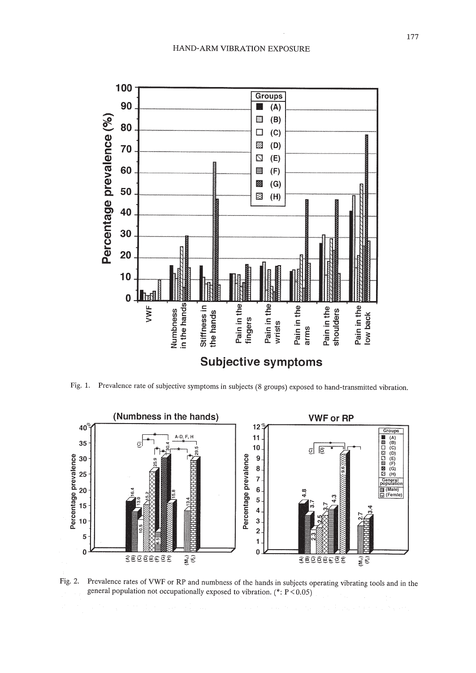

Fig. 1. Prevalence rate of subjective symptoms in subjects (8 groups) exposed to hand-transmitted vibration.



Fig. 2. Prevalence rates of VWF or RP and numbness of the hands in subjects operating vibrating tools and in the general population not occupationally exposed to vibration.  $(*: P < 0.05)$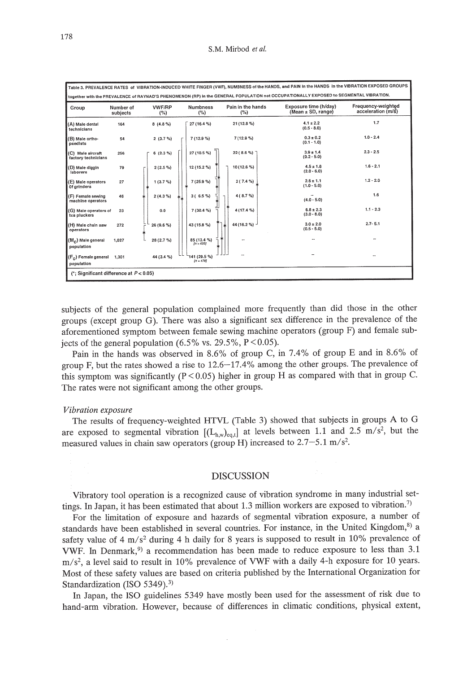| Group                                    | Number of<br>subjects | <b>VWF/RP</b><br>(%) | <b>Numbness</b><br>(%)     | Pain in the hands<br>(%) | Exposure time (h/day)<br>(Mean ± SD, range) | Frequency-weighted<br>acceleration (m/s) |
|------------------------------------------|-----------------------|----------------------|----------------------------|--------------------------|---------------------------------------------|------------------------------------------|
| (A) Male dental<br>technicians           | 164                   | 8(4.8%)              | 27 (16.4 %)                | 21 (12.8 %)              | $4.1 \pm 2.2$<br>$(0.5 - 8.0)$              | 1.7                                      |
| (B) Male ortho-<br>paedists              | 54                    | 2(3.7%)              | 7(12.9%                    | 7(12.9%                  | $0.3 \pm 0.2$<br>$(0.1 - 1.0)$              | $1.0 - 2.4$                              |
| (C) Male aircraft<br>factory technicians | 256                   | $6(2.3\%)$           | 27 (10.5 %)                | 22(8.6%                  | $3.9 \pm 1.4$<br>$(0.2 - 5.0)$              | $2.3 - 2.5$                              |
| (D) Male diggin<br>laborers              | 79                    | 2(2.5%)              | 12 (15.2 %)                | 10 (12.6 %)              | $4.5 \pm 1.8$<br>$(2.0 - 6.0)$              | $1.6 - 2.1$                              |
| (E) Male operators<br>0f arinders        | 27                    | 1(3.7%)              | 7(25.9%                    | 2(7.4%                   | $2.6 \pm 1.1$<br>$(1.0 - 5.0)$              | $1.2 - 2.0$                              |
| (F) Female sewing<br>machine operators   | 46                    | 2(4.3%               | 3(6.5%)                    | 4 (8.7 %)                | $\overline{\phantom{a}}$<br>$(4.0 - 5.0)$   | 1.6                                      |
| (G) Male operators of<br>tea pluckers    | 23                    | 0.0                  | 7(30.4%                    | 4 (17.4 %)               | $6.8 \pm 2.3$<br>$(3.0 - 8.0)$              | $1.1 - 2.3$                              |
| (H) Male chain saw<br>operators          | 272                   | 26 (9.6 %)           | 43 (15.8 %)                | 44 (16.2 %) -            | $3.0 \pm 2.0$<br>$(0.5 - 5.0)$              | $2.7 - 5.1$                              |
| $(Mc)$ Male general<br>population        | 1,027                 | 28 (2.7 %)           | 85 (13.4 %)<br>$[n = 635]$ | $\sim$                   |                                             |                                          |
| $(F_n)$ Female general<br>population     | 1.301                 | 44 (3.4 %)           | 141 (29.5 %)<br>$[n=478]$  |                          |                                             | $\sim$ $\sim$                            |

subjects of the general population complained more frequently than did those in the other groups (except group G). There was also a significant sex difference in the prevalence of the aforementioned symptom between female sewing machine operators (group F) and female subjects of the general population (6.5% vs. 29.5%,  $P < 0.05$ ).

Pain in the hands was observed in 8.6% of group C, in 7.4% of group E and in 8.6% of group F, but the rates showed a rise to 12.6-17.4% among the other groups. The prevalence of this symptom was significantly ( $P < 0.05$ ) higher in group H as compared with that in group C. The rates were not significant among the other groups.

#### *Vibration exposure*

The results of frequency-weighted HTVL (Table 3) showed that subjects in groups A to G are exposed to segmental vibration  $[(L_{h,w})_{\text{eq}}]$  at levels between 1.1 and 2.5 m/s<sup>2</sup>, but the measured values in chain saw operators (group H) increased to  $2.7-5.1$  m/s<sup>2</sup>.

#### DISCUSSION

Vibratory tool operation is a recognized cause of vibration syndrome in many industrial settings. In Japan, it has been estimated that about 1.3 million workers are exposed to vibration.?)

For the limitation of exposure and hazards of segmental vibration exposure, a number of standards have been established in several countries. For instance, in the United Kingdom, $8$ ) a safety value of 4 m/s<sup>2</sup> during 4 h daily for 8 years is supposed to result in 10% prevalence of VWF. In Denmark,<sup>9)</sup> a recommendation has been made to reduce exposure to less than 3.1  $m/s<sup>2</sup>$ , a level said to result in 10% prevalence of VWF with a daily 4-h exposure for 10 years. Most of these safety values are based on criteria published by the International Organization for Standardization (ISO 5349).<sup>3)</sup>

In Japan, the ISO guidelines 5349 have mostly been used for the assessment of risk due to hand-arm vibration. However, because of differences in climatic conditions, physical extent,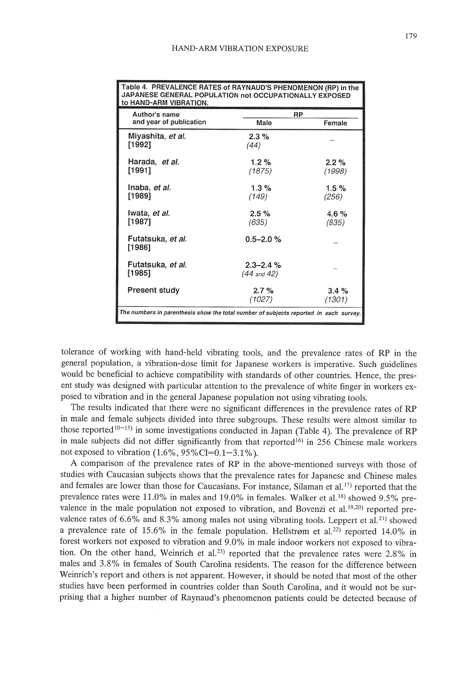| Table 4. PREVALENCE RATES OF RAYNAUD'S PHENOMENON (RP) in the<br>JAPANESE GENERAL POPULATION not OCCUPATIONALLY EXPOSED<br>to HAND-ARM VIBRATION. |                                   |                   |  |
|---------------------------------------------------------------------------------------------------------------------------------------------------|-----------------------------------|-------------------|--|
| Author's name<br>and year of publication                                                                                                          | RP<br>Male                        | Female            |  |
| Miyashita, et al.<br>[1992]                                                                                                                       | $2.3\%$<br>(44)                   |                   |  |
| Harada, et al.<br>[1991]                                                                                                                          | 1.2%<br>(1875)                    | $2.2\%$<br>(1998) |  |
| Inaba, et al.<br>[1989]                                                                                                                           | $1.3\%$<br>(149)                  | 1.5%<br>(256)     |  |
| Iwata, et al.<br>[1987]                                                                                                                           | $2.5\%$<br>(635)                  | 4.6 $%$<br>(835)  |  |
| Futatsuka, <i>et al.</i><br>[1986]                                                                                                                | $0.5 - 2.0 %$                     |                   |  |
| Futatsuka, <i>et al.</i><br>[1985]                                                                                                                | $2.3 - 2.4 \%$<br>$(44$ and $42)$ |                   |  |
| <b>Present study</b>                                                                                                                              | $2.7\%$<br>(1027)                 | 3.4%<br>(1301)    |  |
| The numbers in parenthesis show the total number of subjects reported in each survey.                                                             |                                   |                   |  |

Table 4. PREVALENCE RATES of RAYNAUD'S PHENOMENON (RP) in the

tolerance of working with hand-held vibrating tools, and the prevalence rates of RP in the general population, a vibration-dose limit for Japanese workers is imperative. Such guidelines would be beneficial to achieve compatibility with standards of other countries. Hence, the present study was designed with particular attention to the prevalence of white finger in workers exposed to vibration and in the general Japanese population not using vibrating tools.

The results indicated that there were no significant differences in the prevalence rates of RP in male and female subjects divided into three subgroups. These results were almost similar to those reported<sup>10-15</sup>) in some investigations conducted in Japan (Table 4). The prevalence of RP in male subjects did not differ significantly from that reported<sup>16)</sup> in 256 Chinese male workers not exposed to vibration  $(1.6\%, 95\% \text{CI} = 0.1 - 3.1\%)$ .

A comparison of the prevalence rates of RP in the above-mentioned surveys with those of studies with Caucasian subjects shows that the prevalence rates for Japanese and Chinese males and females are lower than those for Caucasians. For instance, Silaman et al.<sup>17)</sup> reported that the prevalence rates were 11.0% in males and 19.0% in females. Walker et al. 18) showed 9.5% prevalence in the male population not exposed to vibration, and Bovenzi et al.<sup>19,20</sup> reported prevalence rates of  $6.6\%$  and  $8.3\%$  among males not using vibrating tools. Leppert et al.<sup>21)</sup> showed a prevalence rate of 15.6% in the female population. Hellstrøm et al.<sup>22)</sup> reported 14.0% in forest workers not exposed to vibration and 9.0% in male indoor workers not exposed to vibration. On the other hand, Weinrich et al.<sup>23)</sup> reported that the prevalence rates were 2.8% in males and 3.8% in females of South Carolina residents. The reason for the difference between Weinrich's report and others is not apparent. However, it should be noted that most of the other studies have been performed in countries colder than South Carolina, and it would not be surprising that a higher number of Raynaud's phenomenon patients could be detected because of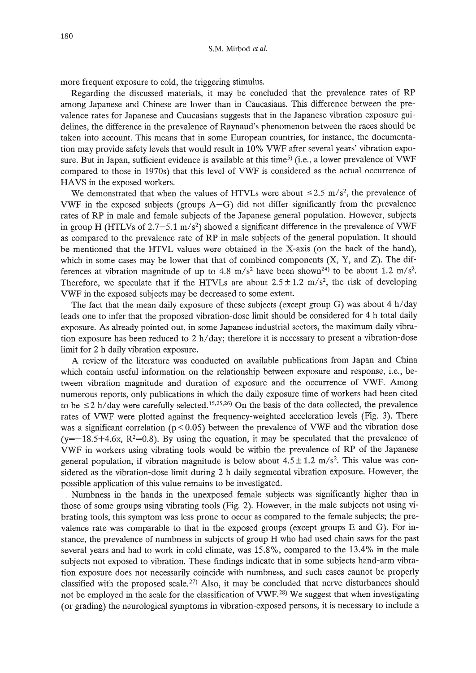more frequent exposure to cold, the triggering stimulus.

Regarding the discussed materials, it may be concluded that the prevalence rates of RP among Japanese and Chinese are lower than in Caucasians. This difference between the prevalence rates for Japanese and Caucasians suggests that in the Japanese vibration exposure guidelines, the difference in the prevalence of Raynaud's phenomenon between the races should be taken into account. This means that in some European countries, for instance, the documentation may provide safety levels that would result in 10% VWF after several years' vibration exposure. But in Japan, sufficient evidence is available at this time<sup>5</sup> (i.e., a lower prevalence of VWF compared to those in 1970s) that this level of VWF is considered as the actual occurrence of HAVS in the exposed workers.

We demonstrated that when the values of HTVLs were about  $\leq 2.5$  m/s<sup>2</sup>, the prevalence of VWF in the exposed subjects (groups A-G) did not differ significantly from the prevalence rates of RP in male and female subjects of the Japanese general population. However, subjects in group H (HTLVs of 2.7-5.1 *m/s2)* showed a significant difference in the prevalence of VWF as compared to the prevalence rate of RP in male subjects of the general population. It should be mentioned that the HTVL values were obtained in the X-axis (on the back of the hand), which in some cases may be lower that that of combined components  $(X, Y, and Z)$ . The differences at vibration magnitude of up to 4.8  $m/s<sup>2</sup>$  have been shown<sup>24)</sup> to be about 1.2  $m/s<sup>2</sup>$ . Therefore, we speculate that if the HTVLs are about  $2.5 \pm 1.2$  m/s<sup>2</sup>, the risk of developing VWF in the exposed subjects may be decreased to some extent.

The fact that the mean daily exposure of these subjects (except group G) was about 4  $h$ /day leads one to infer that the proposed vibration-dose limit should be considered for 4 h total daily exposure. As already pointed out, in some Japanese industrial sectors, the maximum daily vibration exposure has been reduced to  $2 h/day$ ; therefore it is necessary to present a vibration-dose limit for 2 h daily vibration exposure.

A review of the literature was conducted on available publications from Japan and China which contain useful information on the relationship between exposure and response, i.e., between vibration magnitude and duration of exposure and the occurrence of VWE Among numerous reports, only publications in which the daily exposure time of workers had been cited to be  $\leq$  2 h/day were carefully selected.<sup>15,25,26</sup>) On the basis of the data collected, the prevalence rates of VWF were plotted against the frequency-weighted acceleration levels (Fig. 3). There was a significant correlation ( $p < 0.05$ ) between the prevalence of VWF and the vibration dose  $(y=-18.5+4.6x, R^2=0.8)$ . By using the equation, it may be speculated that the prevalence of VWF in workers using vibrating tools would be within the prevalence of RP of the Japanese general population, if vibration magnitude is below about  $4.5 \pm 1.2$  m/s<sup>2</sup>. This value was considered as the vibration-dose limit during 2 h daily segmental vibration exposure. However, the possible application of this value remains to be investigated.

Numbness in the hands in the unexposed female subjects was significantly higher than in those of some groups using vibrating tools (Fig. 2). However, in the male subjects not using vibrating tools, this symptom was less prone to occur as compared to the female subjects; the prevalence rate was comparable to that in the exposed groups (except groups E and G). For instance, the prevalence of numbness in subjects of group H who had used chain saws for the past several years and had to work in cold climate, was 15.8%, compared to the 13.4% in the male subjects not exposed to vibration. These findings indicate that in some subjects hand-arm vibration exposure does not necessarily coincide with numbness, and such cases cannot be properly classified with the proposed scale.<sup>27)</sup> Also, it may be concluded that nerve disturbances should not be employed in the scale for the classification of VWF.<sup>28)</sup> We suggest that when investigating (or grading) the neurological symptoms in vibration-exposed persons, it is necessary to include a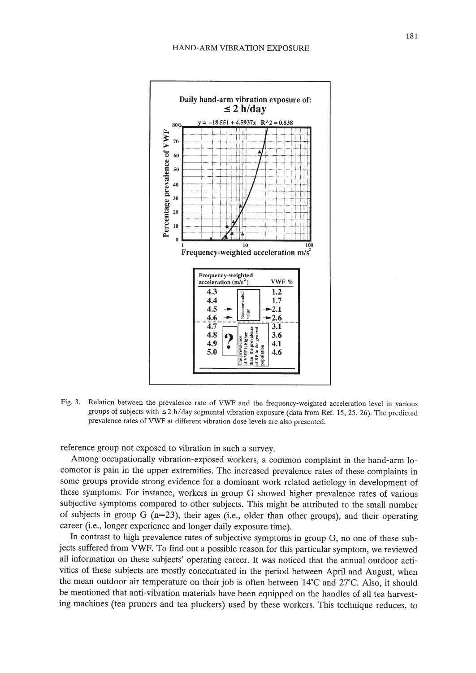

Fig. 3. Relation between the prevalence rate of VWF and the frequency-weighted acceleration level in various groups of subjects with  $\leq$ 2 h/day segmental vibration exposure (data from Ref. 15, 25, 26). The predicted prevalence rates of VWF at different vibration dose levels are also presented.

reference group not exposed to vibration in such a survey.

Among occupationally vibration-exposed workers, a common complaint in the hand-arm locomotor is pain in the upper extremities. The increased prevalence rates of these complaints in some groups provide strong evidence for a dominant work related aetiology in development of these symptoms. For instance, workers in group G showed higher prevalence rates of various subjective symptoms compared to other subjects. This might be attributed to the small number of subjects in group G  $(n=23)$ , their ages (i.e., older than other groups), and their operating career (i.e., longer experience and longer daily exposure time).

In contrast to high prevalence rates of subjective symptoms in group G, no one of these subjects suffered from VWF. To find out a possible reason for this particular symptom, we reviewed all information on these subjects' operating career. It was noticed that the annual outdoor activities of these subjects are mostly concentrated in the period between April and August, when the mean outdoor air temperature on their job is often between 14°C and 27°C. Also, it should be mentioned that anti-vibration materials have been equipped on the handles of all tea harvesting machines (tea pruners and tea pluckers) used by these workers. This technique reduces, to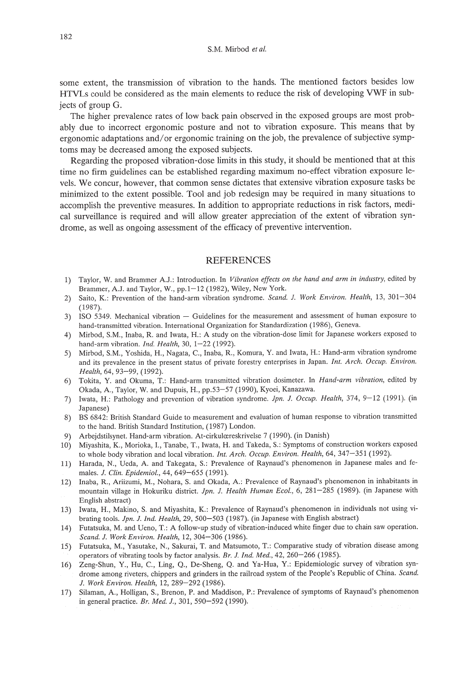some extent, the transmission of vibration to the hands. The mentioned factors besides low HTVLs could be considered as the main elements to reduce the risk of developing VWF in subjects of group G.

The higher prevalence rates of low back pain observed in the exposed groups are most probably due to incorrect ergonomic posture and not to vibration exposure. This means that by ergonomic adaptations and/or ergonomic training on the job, the prevalence of subjective symptoms may be decreased among the exposed subjects.

Regarding the proposed vibration-dose limits in this study, it should be mentioned that at this time no firm guidelines can be established regarding maximum no-effect vibration exposure levels. We concur, however, that common sense dictates that extensive vibration exposure tasks be minimized to the extent possible. Tool and job redesign may be required in many situations to accomplish the preventive measures. In addition to appropriate reductions in risk factors, medical surveillance is required and will allow greater appreciation of the extent of vibration syndrome, as well as ongoing assessment of the efficacy of preventive intervention.

## REFERENCES

- 1) Taylor, W. and Brammer A.J.: Introduction. In *Vibration effects on the hand and arm in industry,* edited by Brammer, AJ. and Taylor, W., pp.1-12 (1982), Wiley, New York.
- 2) Saito, K.: Prevention of the hand-arm vibration syndrome. *Scand. l. Work Environ. Health,* 13, 301-304 (1987).
- 3) ISO 5349. Mechanical vibration Guidelines for the measurement and assessment of human exposure to hand-transmitted vibration. International Organization for Standardization (1986), Geneva.
- 4) Mirbod, S.M., Inaba, R. and Iwata, H.: A study on the vibration-dose limit for Japanese workers exposed to hand-arm vibration. *Ind. Health,* 30, 1-22 (1992).
- 5) Mirbod, S.M., Yoshida, H., Nagata, c., Inaba, R., Komura, Y. and Iwata, H.: Hand-arm vibration syndrome and its prevalence in the present status of private forestry enterprises in Japan. *Int. Arch. Occup. Environ. Health,* 64, 93-99, (1992).
- 6) Tokita, Y. and Okuma, T.: Hand-arm transmitted vibration dosimeter. In *Hand-arm vibration,* edited by Okada, A., Taylor, W. and Dupuis, H., pp.53-57 (1990), Kyoei, Kanazawa.
- 7) Iwata, H.: Pathology and prevention of vibration syndrome. *lpn. l. Occup. Health,* 374, 9-12 (1991). (in Japanese)
- 8) BS 6842: British Standard Guide to measurement and evaluation of human response to vibration transmitted to the hand. British Standard Institution, (1987) London.
- 9) Arbejdstilsynet. Hand-arm vibration. At-cirkulæreskrivelse 7 (1990). (in Danish)
- 10) Miyashita, K., Morioka, 1., Tanabe, T., Iwata, H. and Takeda, S.: Symptoms of construction workers exposed to whole body vibration and local vibration. *Int. Arch. Occup. Environ. Health,* 64,347-351 (1992).
- 11) Harada, N., Veda, A. and Takegata, S.: Prevalence of Raynaud's phenomenon in Japanese males and females. *J. Clin. Epidemiol.,* 44, 649-655 (1991).
- 12) Inaba, R., Ariizumi, M., Nohara, S. and Okada, A.: Prevalence of Raynaud's phenomenon in inhabitants in mountain village in Hokuriku district. *Jpn. J. Health Human Ecol.,* 6, 281-285 (1989). (in Japanese with English abstract)
- 13) Iwata, R., Makino, S. and Miyashita, K.: Prevalence of Raynaud's phenomenon in individuals not using vibrating tools. *Jpn. J. Ind. Health,* 29, 500-503 (1987). (in Japanese with English abstract)
- 14) Futatsuka, M. and Veno, T.: A follow-up study of vibration-induced white finger due to chain saw operation. *Scand. J. Work Environ. Health,* 12, 304-306 (1986).
- 15) Futatsuka, M., Yasutake, N., Sakurai, T. and Matsumoto, T.: Comparative study of vibration disease among operators of vibrating tools by factor analysis. *Sr. J. Ind. Med.,* 42, 260-266 (1985).
- 16) Zeng-Shun, Y., Ru, c., Ling, Q., De-Sheng, Q. and Ya-Hua, Y: Epidemiologic survey of vibration syndrome among riveters, chippers and grinders in the railroad system of the People's Republic of China. *Seand. l. Work Environ. Health,* 12, 289-292 (1986).
- 17) Silaman, A., Holligan, S., Brenon, P. and Maddison, P.: Prevalence of symptoms of Raynaud's phenomenon in general practice. *Sr. Med. J.,* 301, 590-592 (1990).